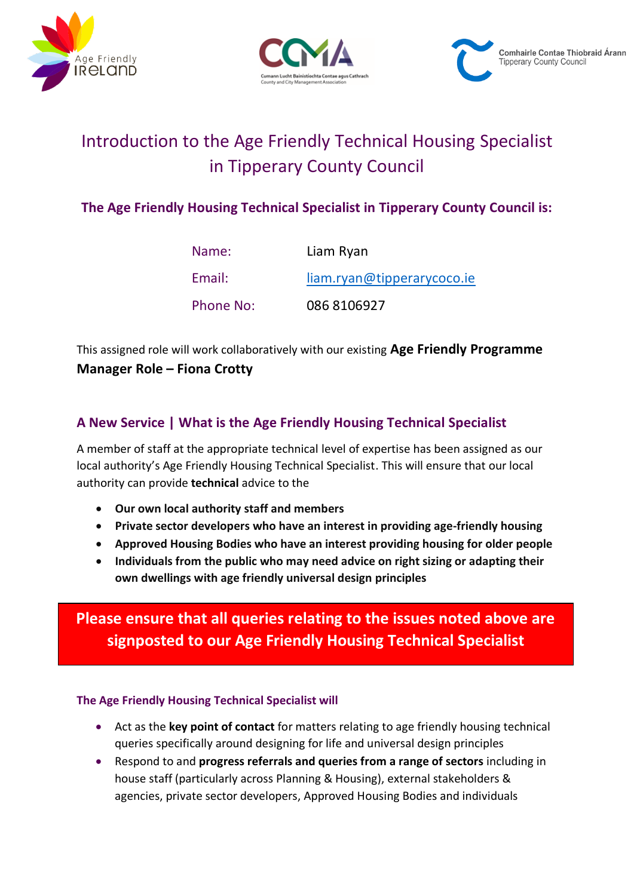





# Introduction to the Age Friendly Technical Housing Specialist in Tipperary County Council

## **The Age Friendly Housing Technical Specialist in Tipperary County Council is:**

| Name:     | Liam Ryan                  |
|-----------|----------------------------|
| Email:    | liam.ryan@tipperarycoco.ie |
| Phone No: | 086 8106927                |

This assigned role will work collaboratively with our existing **Age Friendly Programme Manager Role – Fiona Crotty**

## **A New Service | What is the Age Friendly Housing Technical Specialist**

A member of staff at the appropriate technical level of expertise has been assigned as our local authority's Age Friendly Housing Technical Specialist. This will ensure that our local authority can provide **technical** advice to the

- **Our own local authority staff and members**
- **Private sector developers who have an interest in providing age-friendly housing**
- **Approved Housing Bodies who have an interest providing housing for older people**
- **Individuals from the public who may need advice on right sizing or adapting their own dwellings with age friendly universal design principles**

## **Please ensure that all queries relating to the issues noted above are signposted to our Age Friendly Housing Technical Specialist**

#### **The Age Friendly Housing Technical Specialist will**

- Act as the **key point of contact** for matters relating to age friendly housing technical queries specifically around designing for life and universal design principles
- Respond to and **progress referrals and queries from a range of sectors** including in house staff (particularly across Planning & Housing), external stakeholders & agencies, private sector developers, Approved Housing Bodies and individuals